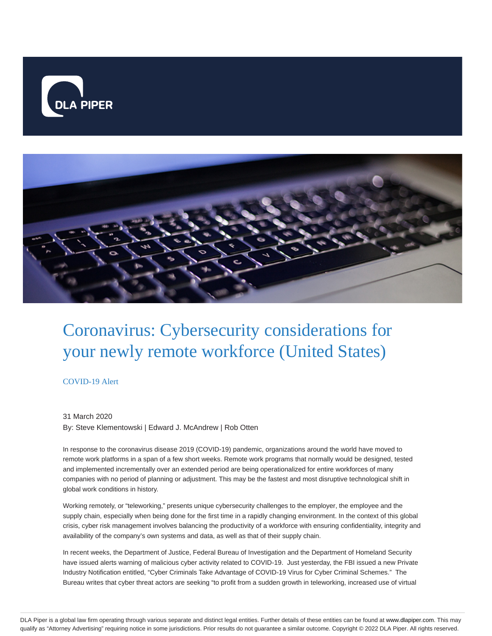



# Coronavirus: Cybersecurity considerations for your newly remote workforce (United States)

## COVID-19 Alert

### 31 March 2020

By: Steve Klementowski | Edward J. McAndrew | Rob Otten

In response to the coronavirus disease 2019 (COVID-19) pandemic, organizations around the world have moved to remote work platforms in a span of a few short weeks. Remote work programs that normally would be designed, tested and implemented incrementally over an extended period are being operationalized for entire workforces of many companies with no period of planning or adjustment. This may be the fastest and most disruptive technological shift in global work conditions in history.

Working remotely, or "teleworking," presents unique cybersecurity challenges to the employer, the employee and the supply chain, especially when being done for the first time in a rapidly changing environment. In the context of this global crisis, cyber risk management involves balancing the productivity of a workforce with ensuring confidentiality, integrity and availability of the company's own systems and data, as well as that of their supply chain.

In recent weeks, the Department of Justice, Federal Bureau of Investigation and the Department of Homeland Security have issued alerts warning of malicious cyber activity related to COVID-19. Just yesterday, the FBI issued a new Private Industry Notification entitled, "Cyber Criminals Take Advantage of COVID-19 Virus for Cyber Criminal Schemes." The Bureau writes that cyber threat actors are seeking "to profit from a sudden growth in teleworking, increased use of virtual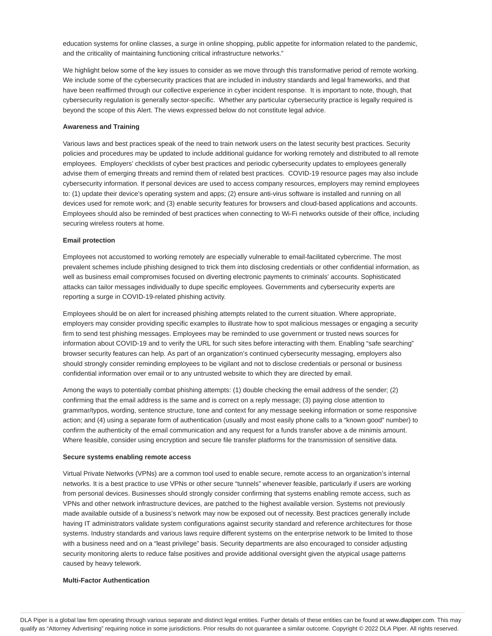education systems for online classes, a surge in online shopping, public appetite for information related to the pandemic, and the criticality of maintaining functioning critical infrastructure networks."

We highlight below some of the key issues to consider as we move through this transformative period of remote working. We include some of the cybersecurity practices that are included in industry standards and legal frameworks, and that have been reaffirmed through our collective experience in cyber incident response. It is important to note, though, that cybersecurity regulation is generally sector-specific. Whether any particular cybersecurity practice is legally required is beyond the scope of this Alert. The views expressed below do not constitute legal advice.

#### **Awareness and Training**

Various laws and best practices speak of the need to train network users on the latest security best practices. Security policies and procedures may be updated to include additional guidance for working remotely and distributed to all remote employees. Employers' checklists of cyber best practices and periodic cybersecurity updates to employees generally advise them of emerging threats and remind them of related best practices. COVID-19 resource pages may also include cybersecurity information. If personal devices are used to access company resources, employers may remind employees to: (1) update their device's operating system and apps; (2) ensure anti-virus software is installed and running on all devices used for remote work; and (3) enable security features for browsers and cloud-based applications and accounts. Employees should also be reminded of best practices when connecting to Wi-Fi networks outside of their office, including securing wireless routers at home.

#### **Email protection**

Employees not accustomed to working remotely are especially vulnerable to email-facilitated cybercrime. The most prevalent schemes include phishing designed to trick them into disclosing credentials or other confidential information, as well as business email compromises focused on diverting electronic payments to criminals' accounts. Sophisticated attacks can tailor messages individually to dupe specific employees. Governments and cybersecurity experts are reporting a surge in COVID-19-related phishing activity.

Employees should be on alert for increased phishing attempts related to the current situation. Where appropriate, employers may consider providing specific examples to illustrate how to spot malicious messages or engaging a security firm to send test phishing messages. Employees may be reminded to use government or trusted news sources for information about COVID-19 and to verify the URL for such sites before interacting with them. Enabling "safe searching" browser security features can help. As part of an organization's continued cybersecurity messaging, employers also should strongly consider reminding employees to be vigilant and not to disclose credentials or personal or business confidential information over email or to any untrusted website to which they are directed by email.

Among the ways to potentially combat phishing attempts: (1) double checking the email address of the sender; (2) confirming that the email address is the same and is correct on a reply message; (3) paying close attention to grammar/typos, wording, sentence structure, tone and context for any message seeking information or some responsive action; and (4) using a separate form of authentication (usually and most easily phone calls to a "known good" number) to confirm the authenticity of the email communication and any request for a funds transfer above a de minimis amount. Where feasible, consider using encryption and secure file transfer platforms for the transmission of sensitive data.

#### **Secure systems enabling remote access**

Virtual Private Networks (VPNs) are a common tool used to enable secure, remote access to an organization's internal networks. It is a best practice to use VPNs or other secure "tunnels" whenever feasible, particularly if users are working from personal devices. Businesses should strongly consider confirming that systems enabling remote access, such as VPNs and other network infrastructure devices, are patched to the highest available version. Systems not previously made available outside of a business's network may now be exposed out of necessity. Best practices generally include having IT administrators validate system configurations against security standard and reference architectures for those systems. Industry standards and various laws require different systems on the enterprise network to be limited to those with a business need and on a "least privilege" basis. Security departments are also encouraged to consider adjusting security monitoring alerts to reduce false positives and provide additional oversight given the atypical usage patterns caused by heavy telework.

#### **Multi-Factor Authentication**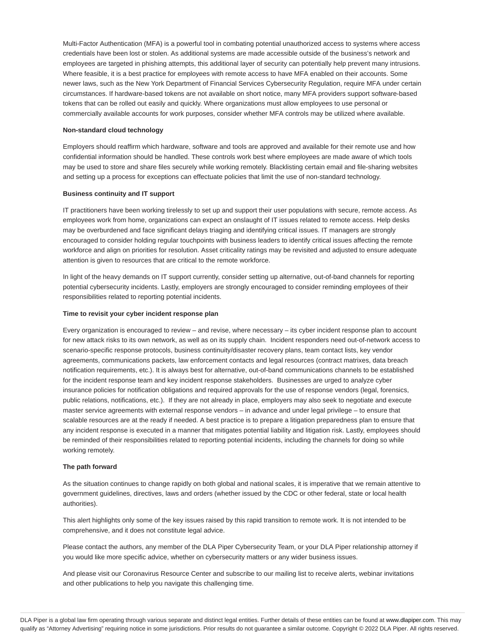Multi-Factor Authentication (MFA) is a powerful tool in combating potential unauthorized access to systems where access credentials have been lost or stolen. As additional systems are made accessible outside of the business's network and employees are targeted in phishing attempts, this additional layer of security can potentially help prevent many intrusions. Where feasible, it is a best practice for employees with remote access to have MFA enabled on their accounts. Some newer laws, such as the New York Department of Financial Services Cybersecurity Regulation, require MFA under certain circumstances. If hardware-based tokens are not available on short notice, many MFA providers support software-based tokens that can be rolled out easily and quickly. Where organizations must allow employees to use personal or commercially available accounts for work purposes, consider whether MFA controls may be utilized where available.

#### **Non-standard cloud technology**

Employers should reaffirm which hardware, software and tools are approved and available for their remote use and how confidential information should be handled. These controls work best where employees are made aware of which tools may be used to store and share files securely while working remotely. Blacklisting certain email and file-sharing websites and setting up a process for exceptions can effectuate policies that limit the use of non-standard technology.

#### **Business continuity and IT support**

IT practitioners have been working tirelessly to set up and support their user populations with secure, remote access. As employees work from home, organizations can expect an onslaught of IT issues related to remote access. Help desks may be overburdened and face significant delays triaging and identifying critical issues. IT managers are strongly encouraged to consider holding regular touchpoints with business leaders to identify critical issues affecting the remote workforce and align on priorities for resolution. Asset criticality ratings may be revisited and adjusted to ensure adequate attention is given to resources that are critical to the remote workforce.

In light of the heavy demands on IT support currently, consider setting up alternative, out-of-band channels for reporting potential cybersecurity incidents. Lastly, employers are strongly encouraged to consider reminding employees of their responsibilities related to reporting potential incidents.

#### **Time to revisit your cyber incident response plan**

Every organization is encouraged to review – and revise, where necessary – its cyber incident response plan to account for new attack risks to its own network, as well as on its supply chain. Incident responders need out-of-network access to scenario-specific response protocols, business continuity/disaster recovery plans, team contact lists, key vendor agreements, communications packets, law enforcement contacts and legal resources (contract matrixes, data breach notification requirements, etc.). It is always best for alternative, out-of-band communications channels to be established for the incident response team and key incident response stakeholders. Businesses are urged to analyze cyber insurance policies for notification obligations and required approvals for the use of response vendors (legal, forensics, public relations, notifications, etc.). If they are not already in place, employers may also seek to negotiate and execute master service agreements with external response vendors – in advance and under legal privilege – to ensure that scalable resources are at the ready if needed. A best practice is to prepare a litigation preparedness plan to ensure that any incident response is executed in a manner that mitigates potential liability and litigation risk. Lastly, employees should be reminded of their responsibilities related to reporting potential incidents, including the channels for doing so while working remotely.

#### **The path forward**

As the situation continues to change rapidly on both global and national scales, it is imperative that we remain attentive to government guidelines, directives, laws and orders (whether issued by the CDC or other federal, state or local health authorities).

This alert highlights only some of the key issues raised by this rapid transition to remote work. It is not intended to be comprehensive, and it does not constitute legal advice.

Please contact the authors, any member of the DLA Piper Cybersecurity Team, or your DLA Piper relationship attorney if you would like more specific advice, whether on cybersecurity matters or any wider business issues.

And please visit our Coronavirus Resource Center and subscribe to our mailing list to receive alerts, webinar invitations and other publications to help you navigate this challenging time.